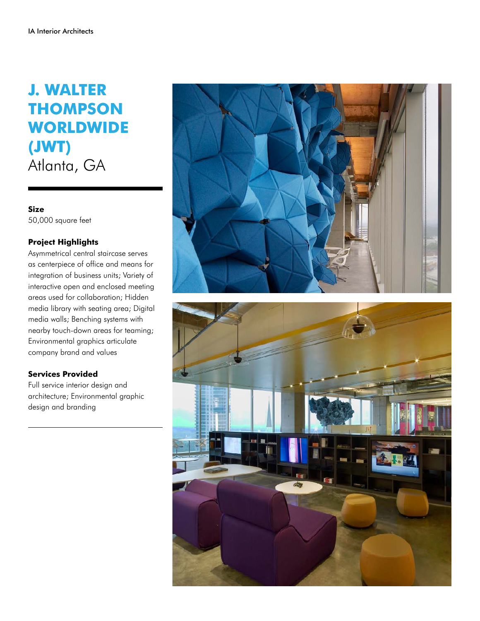## **J. WALTER THOMPSON WORLDWIDE (JWT)** Atlanta, GA

**Size** 50,000 square feet

## **Project Highlights**

Asymmetrical central staircase serves as centerpiece of office and means for integration of business units; Variety of interactive open and enclosed meeting areas used for collaboration; Hidden media library with seating area; Digital media walls; Benching systems with nearby touch-down areas for teaming; Environmental graphics articulate company brand and values

## **Services Provided**

Full service interior design and architecture; Environmental graphic design and branding